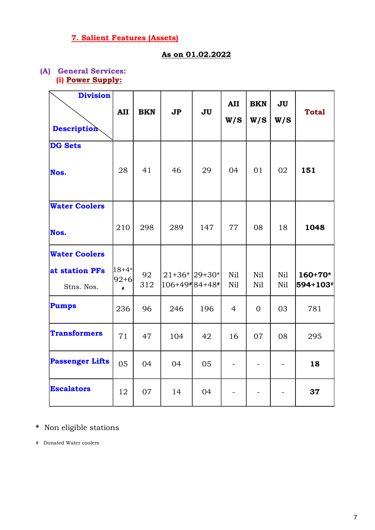# 7. Salient Features (Assets)

#### As on 01.02.2022

#### (A) General Services: (i) Power Supply:

| <b>Division</b><br><b>Description</b> | <b>AII</b>                 | <b>BKN</b> | J <sub>P</sub>                          | <b>JU</b> | <b>AII</b><br>W/S | <b>BKN</b><br>W/S | JU<br>W/S      | <b>Total</b>          |
|---------------------------------------|----------------------------|------------|-----------------------------------------|-----------|-------------------|-------------------|----------------|-----------------------|
| <b>DG Sets</b><br>Nos.                | 28                         | 41         | 46                                      | 29        | 04                | 01                | 02             | 151                   |
| <b>Water Coolers</b><br>Nos.          | 210                        | 298        | 289                                     | 147       | 77                | 08                | 18             | 1048                  |
| <b>Water Coolers</b>                  |                            |            |                                         |           |                   |                   |                |                       |
| at station PFs<br>Stns. Nos.          | $ 18+4* $<br>$ 92+6 $<br># | 92<br>312  | $21+36$ $ 29+30$ $*$<br>$106+49*84+48*$ |           | Nil<br>Nil        | Nil<br>Nil        | Nil<br>Nil     | $160+70*$<br>594+103# |
| Pumps                                 | 236                        | 96         | 246                                     | 196       | $\overline{4}$    | $\Omega$          | 03             | 781                   |
| <b>Transformers</b>                   | 71                         | 47         | 104                                     | 42        | 16                | 07                | 08             | 295                   |
| <b>Passenger Lifts</b>                | 05                         | 04         | 04                                      | 05        |                   |                   |                | 18                    |
| <b>Escalators</b>                     | 12                         | 07         | 14                                      | 04        |                   |                   | $\blacksquare$ | 37                    |

## \* Non eligible stations

# Donated Water coolers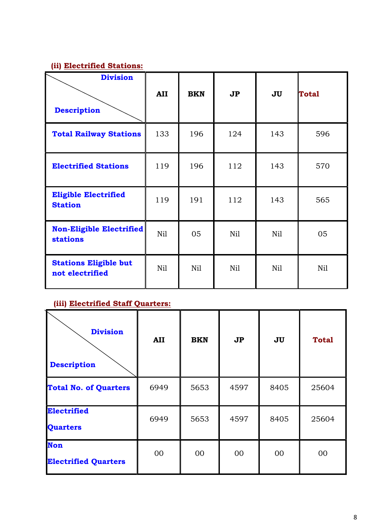#### (ii) Electrified Stations:

| <b>Division</b>                                    |            |            |                |     |              |
|----------------------------------------------------|------------|------------|----------------|-----|--------------|
| <b>Description</b>                                 | <b>AII</b> | <b>BKN</b> | J <sub>P</sub> | JU  | <b>Total</b> |
| <b>Total Railway Stations</b>                      | 133        | 196        | 124            | 143 | 596          |
| <b>Electrified Stations</b>                        | 119        | 196        | 112            | 143 | 570          |
| <b>Eligible Electrified</b><br><b>Station</b>      | 119        | 191        | 112            | 143 | 565          |
| <b>Non-Eligible Electrified</b><br><b>stations</b> | Nil        | 05         | Nil            | Nil | 05           |
| <b>Stations Eligible but</b><br>not electrified    | Nil        | Nil        | Nil            | Nil | Nil          |

# (iii) Electrified Staff Quarters:

| <b>Division</b><br><b>Description</b>     | AII  | <b>BKN</b> | J <sub>P</sub> | JU   | <b>Total</b> |
|-------------------------------------------|------|------------|----------------|------|--------------|
| <b>Total No. of Quarters</b>              | 6949 | 5653       | 4597           | 8405 | 25604        |
| <b>Electrified</b><br><b>Quarters</b>     | 6949 | 5653       | 4597           | 8405 | 25604        |
| <b>Non</b><br><b>Electrified Quarters</b> | 00   | 00         | 00             | 00   | 00           |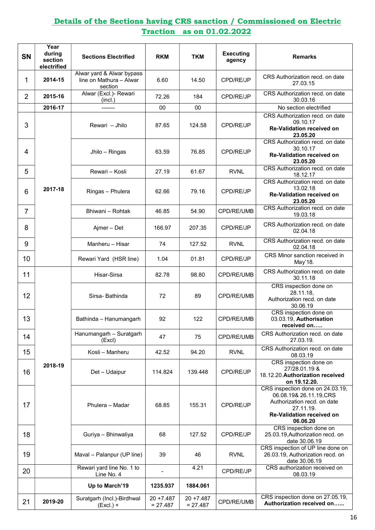### Details of the Sections having CRS sanction / Commissioned on Electric Traction as on 01.02.2022

| <b>SN</b>      | Year<br>during<br>section<br>electrified | <b>Sections Electrified</b>                                     | <b>RKM</b>                 | <b>TKM</b>                 | <b>Executing</b><br>agency | <b>Remarks</b>                                                                                                                                          |
|----------------|------------------------------------------|-----------------------------------------------------------------|----------------------------|----------------------------|----------------------------|---------------------------------------------------------------------------------------------------------------------------------------------------------|
| 1              | 2014-15                                  | Alwar yard & Alwar bypass<br>line on Mathura - Alwar<br>section | 6.60                       | 14.50                      | CPD/RE/JP                  | CRS Authorization recd, on date<br>27.03.15                                                                                                             |
| $\overline{2}$ | 2015-16                                  | Alwar (Excl.)- Rewari<br>(incl.)                                | 72.26                      | 184                        | CPD/RE/JP                  | CRS Authorization recd. on date<br>30.03.16                                                                                                             |
|                | 2016-17                                  |                                                                 | 00                         | 00                         |                            | No section electrified                                                                                                                                  |
| 3              |                                          | Rewari - Jhilo                                                  | 87.65                      | 124.58                     | CPD/RE/JP                  | CRS Authorization recd. on date<br>09.10.17<br><b>Re-Validation received on</b><br>23.05.20                                                             |
| 4              |                                          | Jhilo - Ringas                                                  | 63.59                      | 76.85                      | CPD/RE/JP                  | CRS Authorization recd. on date<br>30.10.17<br><b>Re-Validation received on</b><br>23.05.20                                                             |
| 5              |                                          | Rewari - Kosli                                                  | 27.19                      | 61.67                      | <b>RVNL</b>                | CRS Authorization recd. on date<br>18.12.17                                                                                                             |
| 6              | 2017-18                                  | Ringas - Phulera                                                | 62.66                      | 79.16                      | CPD/RE/JP                  | CRS Authorization recd. on date<br>13.02.18<br><b>Re-Validation received on</b><br>23.05.20                                                             |
| $\overline{7}$ |                                          | Bhiwani - Rohtak                                                | 46.85                      | 54.90                      | CPD/RE/UMB                 | CRS Authorization recd. on date<br>19.03.18                                                                                                             |
| 8              |                                          | Ajmer - Det                                                     | 166.97                     | 207.35                     | CPD/RE/JP                  | CRS Authorization recd. on date<br>02.04.18                                                                                                             |
| 9              |                                          | Manheru - Hisar                                                 | 74                         | 127.52                     | <b>RVNL</b>                | CRS Authorization recd. on date<br>02.04.18                                                                                                             |
| 10             |                                          | Rewari Yard (HSR line)                                          | 1.04                       | 01.81                      | CPD/RE/JP                  | CRS Minor sanction received in<br>May'18.                                                                                                               |
| 11             |                                          | Hisar-Sirsa                                                     | 82.78                      | 98.80                      | CPD/RE/UMB                 | CRS Authorization recd. on date<br>30.11.18                                                                                                             |
| 12             |                                          | Sirsa-Bathinda                                                  | 72                         | 89                         | CPD/RE/UMB                 | CRS inspection done on<br>28.11.18,<br>Authorization recd. on date<br>30.06.19                                                                          |
| 13             |                                          | Bathinda - Hanumangarh                                          | 92                         | 122                        | CPD/RE/UMB                 | CRS inspection done on<br>03.03.19, Authorisation<br>received on                                                                                        |
| 14             |                                          | Hanumangarh - Suratgarh<br>(Excl)                               | 47                         | 75                         | CPD/RE/UMB                 | CRS Authorization recd, on date<br>27.03.19.                                                                                                            |
| 15             |                                          | Kosli - Manheru                                                 | 42.52                      | 94.20                      | <b>RVNL</b>                | CRS Authorization recd. on date<br>08.03.19                                                                                                             |
| 16             | 2018-19                                  | Det - Udaipur                                                   | 114.824                    | 139.448                    | CPD/RE/JP                  | CRS inspection done on<br>27/28.01.19 &<br>18.12.20. Authorization received<br>on 19.12.20.                                                             |
| 17             |                                          | Phulera - Madar                                                 | 68.85                      | 155.31                     | CPD/RE/JP                  | CRS inspection done on 24.03.19,<br>06.08.19& 26.11.19, CRS<br>Authorization recd. on date<br>27.11.19.<br><b>Re-Validation received on</b><br>06.06.20 |
| 18             |                                          | Guriya - Bhinwaliya                                             | 68                         | 127.52                     | CPD/RE/JP                  | CRS inspection done on<br>25.03.19, Authorization recd. on<br>date 30.06.19                                                                             |
| 19             |                                          | Maval - Palanpur (UP line)                                      | 39                         | 46                         | <b>RVNL</b>                | CRS inspection of UP line done on<br>26.03.19, Authorization recd. on<br>date 30.06.19                                                                  |
| 20             |                                          | Rewari yard line No. 1 to<br>Line No. 4                         |                            | 4.21                       | CPD/RE/JP                  | CRS authorization received on<br>08.03.19                                                                                                               |
|                |                                          | Up to March'19                                                  | 1235.937                   | 1884.061                   |                            |                                                                                                                                                         |
| 21             | 2019-20                                  | Suratgarh (Incl.)-Birdhwal<br>$(Excl.) +$                       | $20 + 7.487$<br>$= 27.487$ | $20 + 7.487$<br>$= 27.487$ | CPD/RE/UMB                 | CRS inspection done on 27.05.19,<br>Authorization received on                                                                                           |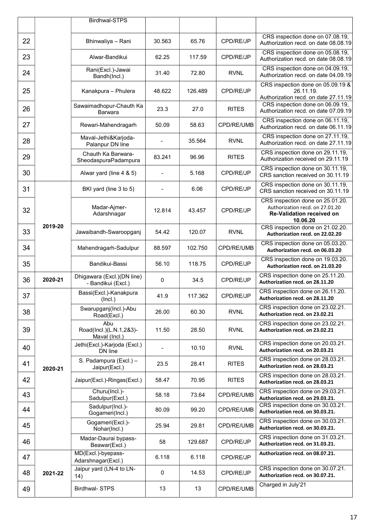|    |         | Birdhwal-STPS                                    |        |         |              |                                                                                                              |
|----|---------|--------------------------------------------------|--------|---------|--------------|--------------------------------------------------------------------------------------------------------------|
|    |         |                                                  |        |         |              |                                                                                                              |
| 22 |         | Bhinwaliya - Rani                                | 30.563 | 65.76   | CPD/RE/JP    | CRS inspection done on 07.08.19,<br>Authorization recd. on date 08.08.19                                     |
| 23 |         | Alwar-Bandikui                                   | 62.25  | 117.59  | CPD/RE/JP    | CRS inspection done on 05.08.19,<br>Authorization recd. on date 08.08.19                                     |
| 24 |         | Rani(Excl.)-Jawai<br>Bandh(Incl.)                | 31.40  | 72.80   | RVNL         | CRS inspection done on 04.09.19,<br>Authorization recd. on date 04.09.19                                     |
| 25 |         | Kanakpura - Phulera                              | 48.622 | 126.489 | CPD/RE/JP    | CRS inspection done on 05.09.19 &<br>26.11.19.<br>Authorization recd. on date 27.11.19                       |
| 26 |         | Sawaimadhopur-Chauth Ka<br><b>Barwara</b>        | 23.3   | 27.0    | <b>RITES</b> | CRS inspection done on 06.09.19,<br>Authorization recd. on date 07.09.19                                     |
| 27 |         | Rewari-Mahendragarh                              | 50.09  | 58.63   | CPD/RE/UMB   | CRS inspection done on 06.11.19,<br>Authorization recd. on date 06.11.19                                     |
| 28 |         | Maval-Jethi&Karjoda-<br>Palanpur DN line         |        | 35.564  | <b>RVNL</b>  | CRS inspection done on 27.11.19,<br>Authorization recd. on date 27.11.19                                     |
| 29 |         | Chauth Ka Barwara-<br>SheodaspuraPadampura       | 83.241 | 96.96   | <b>RITES</b> | CRS inspection done on 29.11.19,<br>Authorization received on 29.11.19                                       |
| 30 |         | Alwar yard (line 4 & 5)                          |        | 5.168   | CPD/RE/JP    | CRS inspection done on 30.11.19,<br>CRS sanction received on 30.11.19                                        |
| 31 |         | BKI yard (line 3 to 5)                           |        | 6.06    | CPD/RE/JP    | CRS inspection done on 30.11.19,<br>CRS sanction received on 30.11.19                                        |
| 32 |         | Madar-Ajmer-<br>Adarshnagar                      | 12.814 | 43.457  | CPD/RE/JP    | CRS inspection done on 25.01.20.<br>Authorization recd. on 27.01.20<br>Re-Validation received on<br>10.06.20 |
| 33 | 2019-20 | Jawaibandh-Swaroopganj                           | 54.42  | 120.07  | <b>RVNL</b>  | CRS inspection done on 21.02.20.<br>Authorization recd. on 22.02.20                                          |
| 34 |         | Mahendragarh-Sadulpur                            | 88.597 | 102.750 | CPD/RE/UMB   | CRS inspection done on 05.03.20.<br>Authorization recd. on 06.03.20                                          |
| 35 |         | Bandikui-Bassi                                   | 56.10  | 118.75  | CPD/RE/JP    | CRS inspection done on 19.03.20.<br>Authorization recd. on 21.03.20                                          |
| 36 | 2020-21 | Dhigawara (Excl.)(DN line)<br>- Bandikui (Excl.) | 0      | 34.5    | CPD/RE/JP    | CRS inspection done on 25.11.20.<br>Authorization recd. on 28.11.20                                          |
| 37 |         | Bassi(Excl.)-Kanakpura<br>(Incl.)                | 41.9   | 117.362 | CPD/RE/JP    | CRS inspection done on 26.11.20.<br>Authorization recd. on 28.11.20                                          |
| 38 |         | Swarupganj(Incl.)-Abu<br>Road(Excl.)             | 26.00  | 60.30   | <b>RVNL</b>  | CRS inspection done on 23.02.21.<br>Authorization recd. on 23.02.21                                          |
| 39 |         | Abu<br>Road(Incl.)(L.N.1,2&3)-<br>Maval (Incl.)  | 11.50  | 28.50   | <b>RVNL</b>  | CRS inspection done on 23.02.21.<br>Authorization recd. on 23.02.21                                          |
| 40 |         | Jethi(Excl.)-Karjoda (Excl.)<br>DN line          |        | 10.10   | <b>RVNL</b>  | CRS inspection done on 20.03.21.<br>Authorization recd. on 20.03.21                                          |
| 41 | 2020-21 | S. Padampura (Excl.) -<br>Jaipur(Excl.)          | 23.5   | 28.41   | <b>RITES</b> | CRS inspection done on 28.03.21.<br>Authorization recd. on 28.03.21                                          |
| 42 |         | Jaipur(Excl.)-Ringas(Excl.)                      | 58.47  | 70.95   | <b>RITES</b> | CRS inspection done on 28.03.21.<br>Authorization recd. on 28.03.21                                          |
| 43 |         | Churu(Incl.)-<br>Sadulpur(Excl.)                 | 58.18  | 73.64   | CPD/RE/UMB   | CRS inspection done on 29.03.21.<br>Authorization recd. on 29.03.21.                                         |
| 44 |         | Sadulpur(Incl.)-<br>Gogameri(Incl.)              | 80.09  | 99.20   | CPD/RE/UMB   | CRS inspection done on 30.03.21.<br>Authorization recd. on 30.03.21.                                         |
| 45 |         | Gogameri(Excl.)-<br>Nohar(Incl.)                 | 25.94  | 29.81   | CPD/RE/UMB   | CRS inspection done on 30.03.21.<br>Authorization recd. on 30.03.21.                                         |
| 46 |         | Madar-Daurai bypass-<br>Beawar(Excl.)            | 58     | 129.687 | CPD/RE/JP    | CRS inspection done on 31.03.21.<br>Authorization recd. on 31.03.21.                                         |
| 47 |         | MD(Excl.)-byepass-<br>Adarshnagar(Excl.)         | 6.118  | 6.118   | CPD/RE/JP    | Authorization recd. on 08.07.21.                                                                             |
| 48 | 2021-22 | Jaipur yard (LN-4 to LN-<br>14)                  | 0      | 14.53   | CPD/RE/JP    | CRS inspection done on 30.07.21.<br>Authorization recd. on 30.07.21.                                         |
| 49 |         | <b>Birdhwal-STPS</b>                             | 13     | 13      | CPD/RE/UMB   | Charged in July'21                                                                                           |